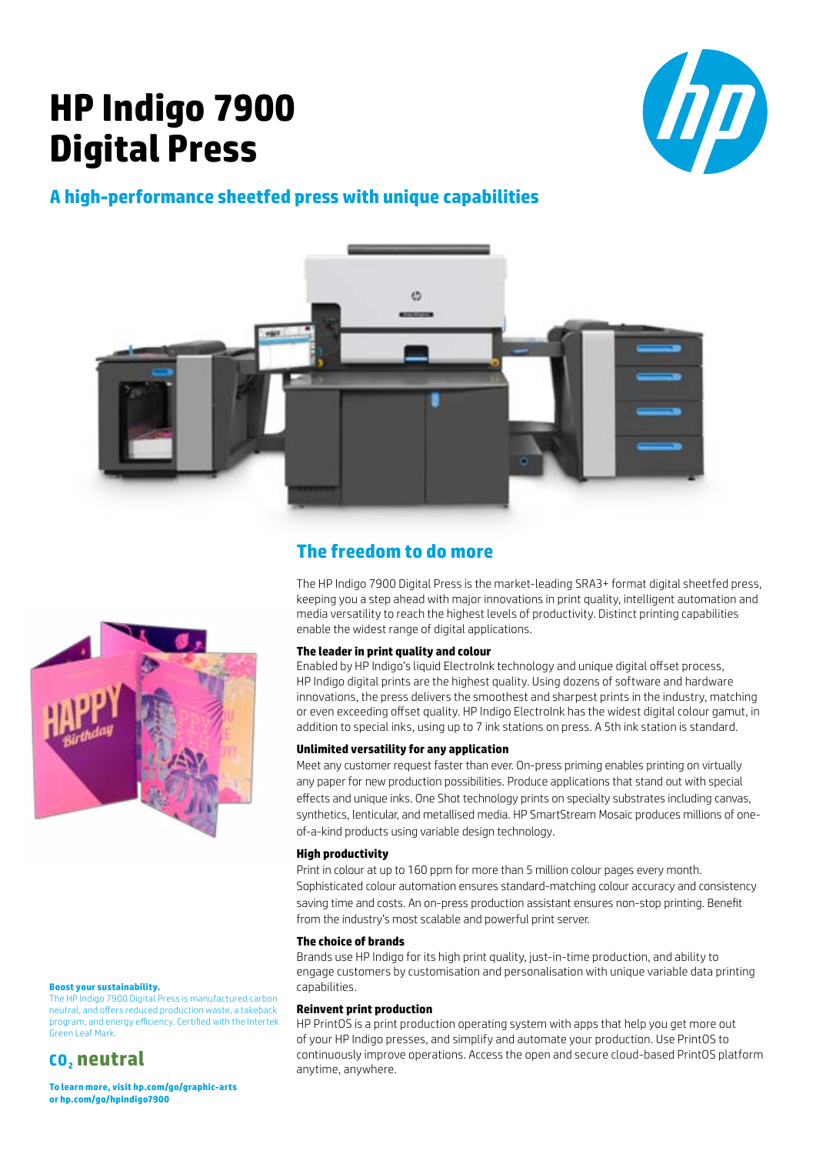# **HP Indigo 7900 Digital Press**



# **A high-performance sheetfed press with unique capabilities**





# **The freedom to do more**

The HP Indigo 7900 Digital Press is the market-leading SRA3+ format digital sheetfed press, keeping you a step ahead with major innovations in print quality, intelligent automation and media versatility to reach the highest levels of productivity. Distinct printing capabilities enable the widest range of digital applications.

## **The leader in print quality and colour**

Enabled by HP Indigo's liquid ElectroInk technology and unique digital offset process, HP Indigo digital prints are the highest quality. Using dozens of software and hardware innovations, the press delivers the smoothest and sharpest prints in the industry, matching or even exceeding offset quality. HP Indigo ElectroInk has the widest digital colour gamut, in addition to special inks, using up to 7 ink stations on press. A 5th ink station is standard.

## **Unlimited versatility for any application**

Meet any customer request faster than ever. On-press priming enables printing on virtually any paper for new production possibilities. Produce applications that stand out with special effects and unique inks. One Shot technology prints on specialty substrates including canvas, synthetics, lenticular, and metallised media. HP SmartStream Mosaic produces millions of oneof-a-kind products using variable design technology.

## **High productivity**

Print in colour at up to 160 ppm for more than 5 million colour pages every month. Sophisticated colour automation ensures standard-matching colour accuracy and consistency saving time and costs. An on-press production assistant ensures non-stop printing. Benefit from the industry's most scalable and powerful print server.

## **The choice of brands**

Brands use HP Indigo for its high print quality, just-in-time production, and ability to engage customers by customisation and personalisation with unique variable data printing capabilities.

## **Reinvent print production**

HP PrintOS is a print production operating system with apps that help you get more out of your HP Indigo presses, and simplify and automate your production. Use PrintOS to continuously improve operations. Access the open and secure cloud-based PrintOS platform anytime, anywhere.

## **Boost your sustainability.**

The HP Indigo 7900 Digital Press is manufactured carbon neutral, and offers reduced production waste, a takeback program, and energy efficiency. Certified with the Intertek Green Leaf Mark.

# **CO2 neutral**

**To learn more, visit [hp.com/go/graphic-arts](http://www8.hp.com/il/en/commercial-printers/graphic-arts.html)  or [hp.com/go/hpindigo7900](http://www8.hp.com/h41271/404D.aspx?cc=il&ll=he&url=http://h41336.www4.hp.com/go_hpindigo7900)**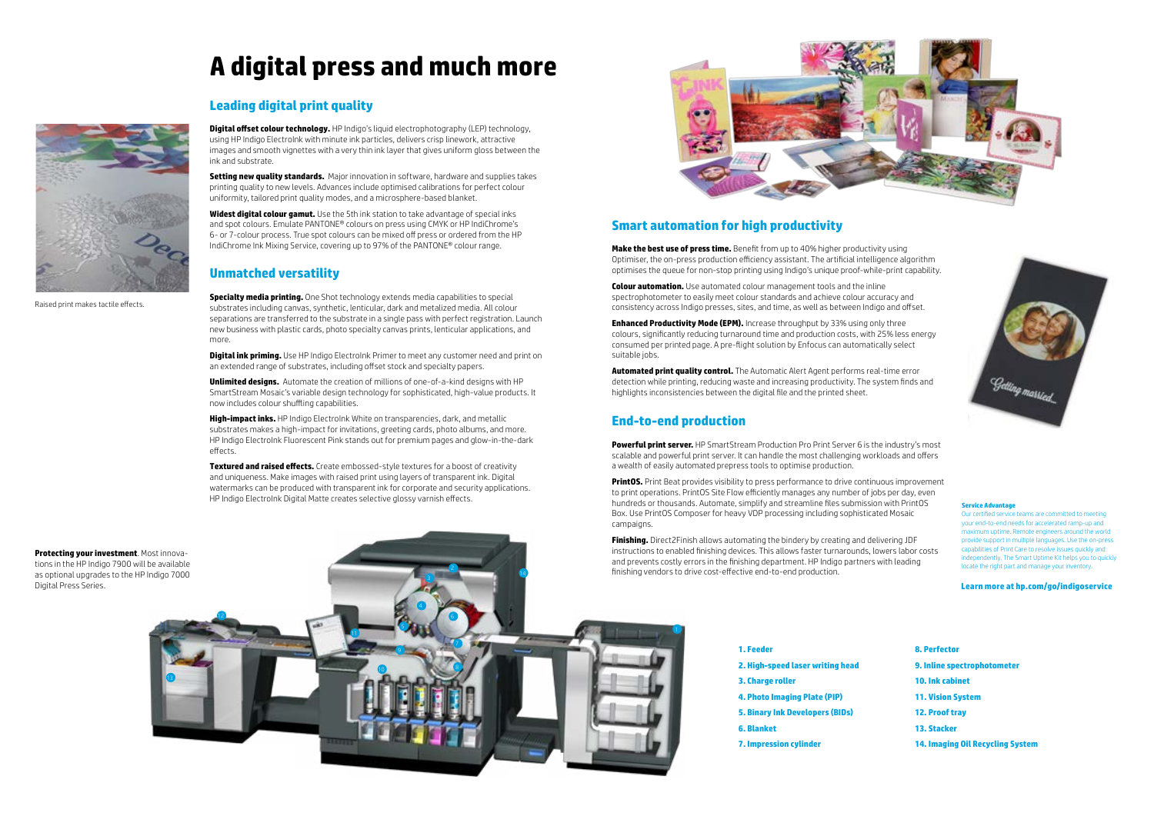

- **1. Feeder**
- **2. High-speed laser writing head**
- **3. Charge roller**
- **4. Photo Imaging Plate (PIP)**
- **5. Binary Ink Developers (BIDs)**
- **6. Blanket**
- **7. Impression cylinder**



**8. Perfector 9. Inline spectrophotometer 10. Ink cabinet 11. Vision System 12. Proof tray 13. Stacker**

**14. Imaging Oil Recycling System**

**Digital offset colour technology.** HP Indigo's liquid electrophotography (LEP) technology, using HP Indigo ElectroInk with minute ink particles, delivers crisp linework, attractive images and smooth vignettes with a very thin ink layer that gives uniform gloss between the ink and substrate.

# **A digital press and much more**

# **Leading digital print quality**

**Setting new quality standards.** Major innovation in software, hardware and supplies takes printing quality to new levels. Advances include optimised calibrations for perfect colour uniformity, tailored print quality modes, and a microsphere-based blanket.

**Digital ink priming.** Use HP Indigo ElectroInk Primer to meet any customer need and print on an extended range of substrates, including offset stock and specialty papers.

**Widest digital colour gamut.** Use the 5th ink station to take advantage of special inks and spot colours. Emulate PANTONE® colours on press using CMYK or HP IndiChrome's 6- or 7-colour process. True spot colours can be mixed off press or ordered from the HP IndiChrome Ink Mixing Service, covering up to 97% of the PANTONE® colour range.

# **Unmatched versatility**

**Specialty media printing.** One Shot technology extends media capabilities to special substrates including canvas, synthetic, lenticular, dark and metalized media. All colour separations are transferred to the substrate in a single pass with perfect registration. Launch new business with plastic cards, photo specialty canvas prints, lenticular applications, and more.

**Enhanced Productivity Mode (EPM).** Increase throughput by 33% using only three colours, significantly reducing turnaround time and production costs, with 25% less energy consumed per printed page. A pre-flight solution by Enfocus can automatically select suitable jobs.

**Unlimited designs.** Automate the creation of millions of one-of-a-kind designs with HP SmartStream Mosaic's variable design technology for sophisticated, high-value products. It now includes colour shuffling capabilities.

> **PrintOS.** Print Beat provides visibility to press performance to drive continuous improvement to print operations. PrintOS Site Flow efficiently manages any number of jobs per day, even hundreds or thousands. Automate, simplify and streamline files submission with PrintOS Box. Use PrintOS Composer for heavy VDP processing including sophisticated Mosaic campaigns.

**High-impact inks.** HP Indigo ElectroInk White on transparencies, dark, and metallic substrates makes a high-impact for invitations, greeting cards, photo albums, and more. HP Indigo ElectroInk Fluorescent Pink stands out for premium pages and glow-in-the-dark effects.

**Textured and raised effects.** Create embossed-style textures for a boost of creativity and uniqueness. Make images with raised print using layers of transparent ink. Digital watermarks can be produced with transparent ink for corporate and security applications. HP Indigo ElectroInk Digital Matte creates selective glossy varnish effects.



# **Smart automation for high productivity**

**Make the best use of press time.** Benefit from up to 40% higher productivity using Optimiser, the on-press production efficiency assistant. The artificial intelligence algorithm optimises the queue for non-stop printing using Indigo's unique proof-while-print capability.

**Colour automation.** Use automated colour management tools and the inline spectrophotometer to easily meet colour standards and achieve colour accuracy and consistency across Indigo presses, sites, and time, as well as between Indigo and offset.

**Automated print quality control.** The Automatic Alert Agent performs real-time error detection while printing, reducing waste and increasing productivity. The system finds and highlights inconsistencies between the digital file and the printed sheet.

## **End-to-end production**

**Powerful print server.** HP SmartStream Production Pro Print Server 6 is the industry's most scalable and powerful print server. It can handle the most challenging workloads and offers a wealth of easily automated prepress tools to optimise production.

**Finishing.** Direct2Finish allows automating the bindery by creating and delivering JDF instructions to enabled finishing devices. This allows faster turnarounds, lowers labor costs and prevents costly errors in the finishing department. HP Indigo partners with leading finishing vendors to drive cost-effective end-to-end production.

**Protecting your investment**. Most innovations in the HP Indigo 7900 will be available as optional upgrades to the HP Indigo 7000 Digital Press Series.

Raised print makes tactile effects.

#### **Service Advantage**

Our certified service teams are committed to meeting your end-to-end needs for accelerated ramp-up and maximum uptime. Remote engineers around the world provide support in multiple languages. Use the on-press capabilities of Print Care to resolve issues quickly and independently. The Smart Uptime Kit helps you to quickly locate the right part and manage your inventory.

#### **Learn more at [hp.com/go/indigoservice](http://www8.hp.com/us/en/commercial-printers/indigo-presses/services.html)**